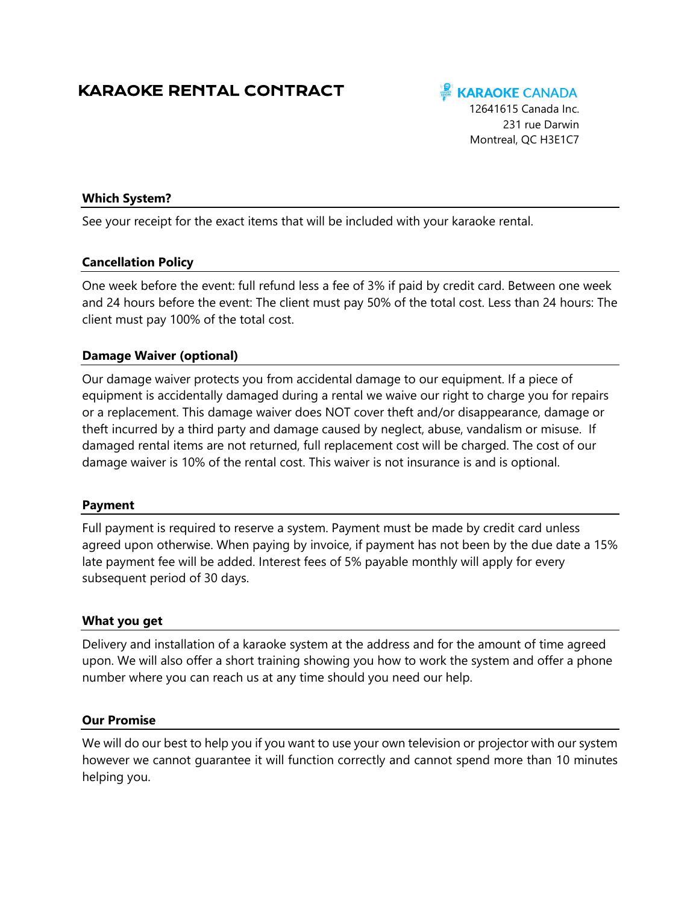# KARAOKE RENTAL CONTRACT

# **KARAOKE CANADA**

12641615 Canada Inc. 231 rue Darwin Montreal, QC H3E1C7

# **Which System?**

See your receipt for the exact items that will be included with your karaoke rental.

## **Cancellation Policy**

One week before the event: full refund less a fee of 3% if paid by credit card. Between one week and 24 hours before the event: The client must pay 50% of the total cost. Less than 24 hours: The client must pay 100% of the total cost.

## **Damage Waiver (optional)**

Our damage waiver protects you from accidental damage to our equipment. If a piece of equipment is accidentally damaged during a rental we waive our right to charge you for repairs or a replacement. This damage waiver does NOT cover theft and/or disappearance, damage or theft incurred by a third party and damage caused by neglect, abuse, vandalism or misuse. If damaged rental items are not returned, full replacement cost will be charged. The cost of our damage waiver is 10% of the rental cost. This waiver is not insurance is and is optional.

#### **Payment**

Full payment is required to reserve a system. Payment must be made by credit card unless agreed upon otherwise. When paying by invoice, if payment has not been by the due date a 15% late payment fee will be added. Interest fees of 5% payable monthly will apply for every subsequent period of 30 days.

#### **What you get**

Delivery and installation of a karaoke system at the address and for the amount of time agreed upon. We will also offer a short training showing you how to work the system and offer a phone number where you can reach us at any time should you need our help.

#### **Our Promise**

We will do our best to help you if you want to use your own television or projector with our system however we cannot guarantee it will function correctly and cannot spend more than 10 minutes helping you.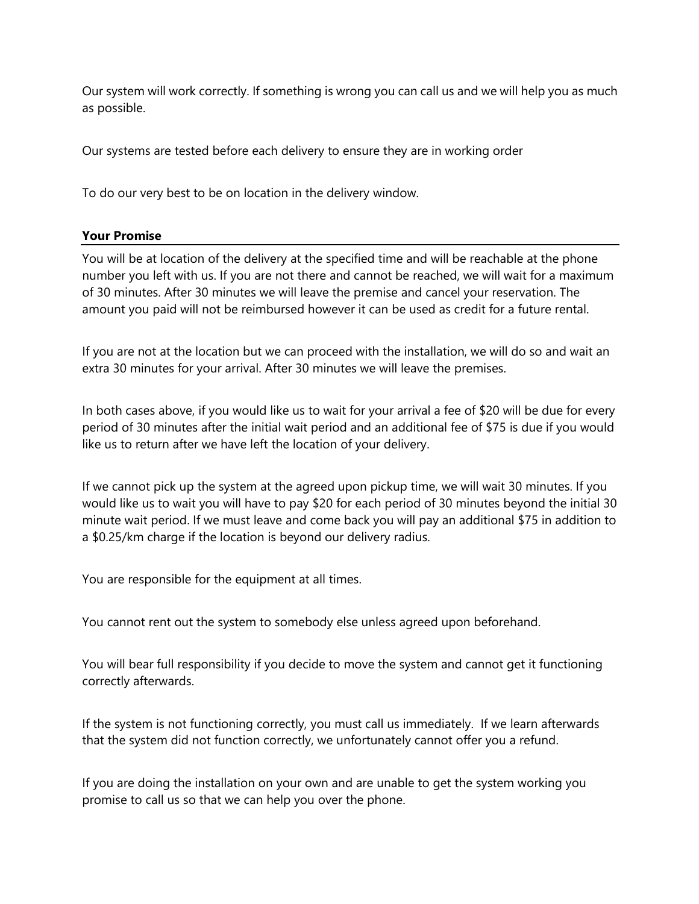Our system will work correctly. If something is wrong you can call us and we will help you as much as possible.

Our systems are tested before each delivery to ensure they are in working order

To do our very best to be on location in the delivery window.

## **Your Promise**

You will be at location of the delivery at the specified time and will be reachable at the phone number you left with us. If you are not there and cannot be reached, we will wait for a maximum of 30 minutes. After 30 minutes we will leave the premise and cancel your reservation. The amount you paid will not be reimbursed however it can be used as credit for a future rental.

If you are not at the location but we can proceed with the installation, we will do so and wait an extra 30 minutes for your arrival. After 30 minutes we will leave the premises.

In both cases above, if you would like us to wait for your arrival a fee of \$20 will be due for every period of 30 minutes after the initial wait period and an additional fee of \$75 is due if you would like us to return after we have left the location of your delivery.

If we cannot pick up the system at the agreed upon pickup time, we will wait 30 minutes. If you would like us to wait you will have to pay \$20 for each period of 30 minutes beyond the initial 30 minute wait period. If we must leave and come back you will pay an additional \$75 in addition to a \$0.25/km charge if the location is beyond our delivery radius.

You are responsible for the equipment at all times.

You cannot rent out the system to somebody else unless agreed upon beforehand.

You will bear full responsibility if you decide to move the system and cannot get it functioning correctly afterwards.

If the system is not functioning correctly, you must call us immediately. If we learn afterwards that the system did not function correctly, we unfortunately cannot offer you a refund.

If you are doing the installation on your own and are unable to get the system working you promise to call us so that we can help you over the phone.